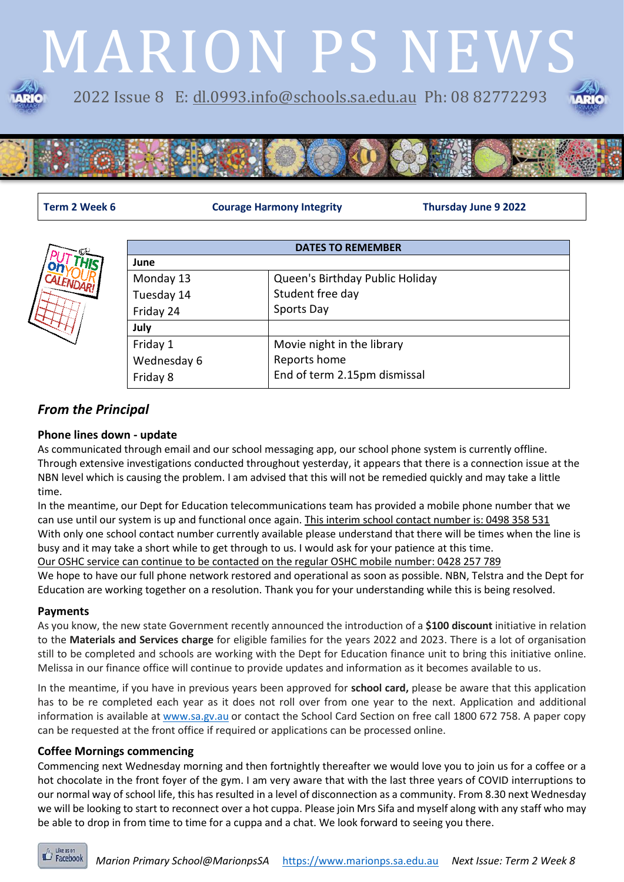# MARION PS NEWS 2022 Issue 8 E: [dl.0993.info@schools.sa.edu.au](mailto:dl.0993.info@schools.sa.edu.au) Ph: 08 82772293





**Term 2 Week 6 Courage Harmony Integrity Thursday June 9 2022**



| <b>DATES TO REMEMBER</b> |                                 |  |
|--------------------------|---------------------------------|--|
| June                     |                                 |  |
| Monday 13                | Queen's Birthday Public Holiday |  |
| Tuesday 14               | Student free day                |  |
| Friday 24                | Sports Day                      |  |
| July                     |                                 |  |
| Friday 1                 | Movie night in the library      |  |
| Wednesday 6              | Reports home                    |  |
| Friday 8                 | End of term 2.15pm dismissal    |  |

### *From the Principal*

#### **Phone lines down - update**

As communicated through email and our school messaging app, our school phone system is currently offline. Through extensive investigations conducted throughout yesterday, it appears that there is a connection issue at the NBN level which is causing the problem. I am advised that this will not be remedied quickly and may take a little time.

In the meantime, our Dept for Education telecommunications team has provided a mobile phone number that we can use until our system is up and functional once again. This interim school contact number is: 0498 358 531 With only one school contact number currently available please understand that there will be times when the line is busy and it may take a short while to get through to us. I would ask for your patience at this time. Our OSHC service can continue to be contacted on the regular OSHC mobile number: 0428 257 789 We hope to have our full phone network restored and operational as soon as possible. NBN, Telstra and the Dept for Education are working together on a resolution. Thank you for your understanding while this is being resolved.

#### **Payments**

As you know, the new state Government recently announced the introduction of a **\$100 discount** initiative in relation to the **Materials and Services charge** for eligible families for the years 2022 and 2023. There is a lot of organisation still to be completed and schools are working with the Dept for Education finance unit to bring this initiative online. Melissa in our finance office will continue to provide updates and information as it becomes available to us.

In the meantime, if you have in previous years been approved for **school card,** please be aware that this application has to be re completed each year as it does not roll over from one year to the next. Application and additional information is available at [www.sa.gv.au](https://nam04.safelinks.protection.outlook.com/?url=http%3A%2F%2Fwww.sa.gv.au%2F&data=05%7C01%7CDavid.OConnell397%40schools.sa.edu.au%7C0cd37968c82340c102ff08da33a34d46%7C73bbf4e906884946aea9bd0bb40ecf07%7C0%7C0%7C637879073729633557%7CUnknown%7CTWFpbGZsb3d8eyJWIjoiMC4wLjAwMDAiLCJQIjoiV2luMzIiLCJBTiI6Ik1haWwiLCJXVCI6Mn0%3D%7C3000%7C%7C%7C&sdata=b%2BqsyvJDMJh2y7kydR2EdNOSteSYyzY%2FjB6p%2Fw3OuzY%3D&reserved=0) or contact the School Card Section on free call 1800 672 758. A paper copy can be requested at the front office if required or applications can be processed online.

#### **Coffee Mornings commencing**

Commencing next Wednesday morning and then fortnightly thereafter we would love you to join us for a coffee or a hot chocolate in the front foyer of the gym. I am very aware that with the last three years of COVID interruptions to our normal way of school life, this has resulted in a level of disconnection as a community. From 8.30 next Wednesday we will be looking to start to reconnect over a hot cuppa. Please join Mrs Sifa and myself along with any staff who may be able to drop in from time to time for a cuppa and a chat. We look forward to seeing you there.

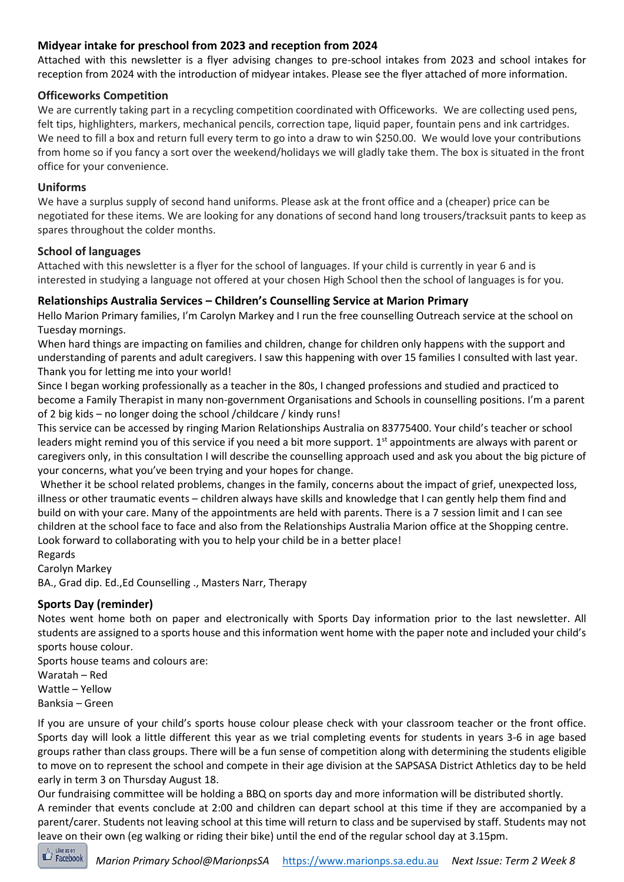#### **Midyear intake for preschool from 2023 and reception from 2024**

Attached with this newsletter is a flyer advising changes to pre-school intakes from 2023 and school intakes for reception from 2024 with the introduction of midyear intakes. Please see the flyer attached of more information.

#### **Officeworks Competition**

We are currently taking part in a recycling competition coordinated with Officeworks. We are collecting used pens, felt tips, highlighters, markers, mechanical pencils, correction tape, liquid paper, fountain pens and ink cartridges. We need to fill a box and return full every term to go into a draw to win \$250.00. We would love your contributions from home so if you fancy a sort over the weekend/holidays we will gladly take them. The box is situated in the front office for your convenience.

#### **Uniforms**

We have a surplus supply of second hand uniforms. Please ask at the front office and a (cheaper) price can be negotiated for these items. We are looking for any donations of second hand long trousers/tracksuit pants to keep as spares throughout the colder months.

#### **School of languages**

Attached with this newsletter is a flyer for the school of languages. If your child is currently in year 6 and is interested in studying a language not offered at your chosen High School then the school of languages is for you.

#### **Relationships Australia Services – Children's Counselling Service at Marion Primary**

Hello Marion Primary families, I'm Carolyn Markey and I run the free counselling Outreach service at the school on Tuesday mornings.

When hard things are impacting on families and children, change for children only happens with the support and understanding of parents and adult caregivers. I saw this happening with over 15 families I consulted with last year. Thank you for letting me into your world!

Since I began working professionally as a teacher in the 80s, I changed professions and studied and practiced to become a Family Therapist in many non-government Organisations and Schools in counselling positions. I'm a parent of 2 big kids – no longer doing the school /childcare / kindy runs!

This service can be accessed by ringing Marion Relationships Australia on 83775400. Your child's teacher or school leaders might remind you of this service if you need a bit more support.  $1<sup>st</sup>$  appointments are always with parent or caregivers only, in this consultation I will describe the counselling approach used and ask you about the big picture of your concerns, what you've been trying and your hopes for change.

Whether it be school related problems, changes in the family, concerns about the impact of grief, unexpected loss, illness or other traumatic events – children always have skills and knowledge that I can gently help them find and build on with your care. Many of the appointments are held with parents. There is a 7 session limit and I can see children at the school face to face and also from the Relationships Australia Marion office at the Shopping centre. Look forward to collaborating with you to help your child be in a better place!

Regards

Carolyn Markey

BA., Grad dip. Ed.,Ed Counselling ., Masters Narr, Therapy

#### **Sports Day (reminder)**

Notes went home both on paper and electronically with Sports Day information prior to the last newsletter. All students are assigned to a sports house and this information went home with the paper note and included your child's sports house colour.

Sports house teams and colours are: Waratah – Red Wattle – Yellow Banksia – Green

If you are unsure of your child's sports house colour please check with your classroom teacher or the front office. Sports day will look a little different this year as we trial completing events for students in years 3-6 in age based groups rather than class groups. There will be a fun sense of competition along with determining the students eligible to move on to represent the school and compete in their age division at the SAPSASA District Athletics day to be held early in term 3 on Thursday August 18.

Our fundraising committee will be holding a BBQ on sports day and more information will be distributed shortly. A reminder that events conclude at 2:00 and children can depart school at this time if they are accompanied by a parent/carer. Students not leaving school at this time will return to class and be supervised by staff. Students may not leave on their own (eg walking or riding their bike) until the end of the regular school day at 3.15pm.

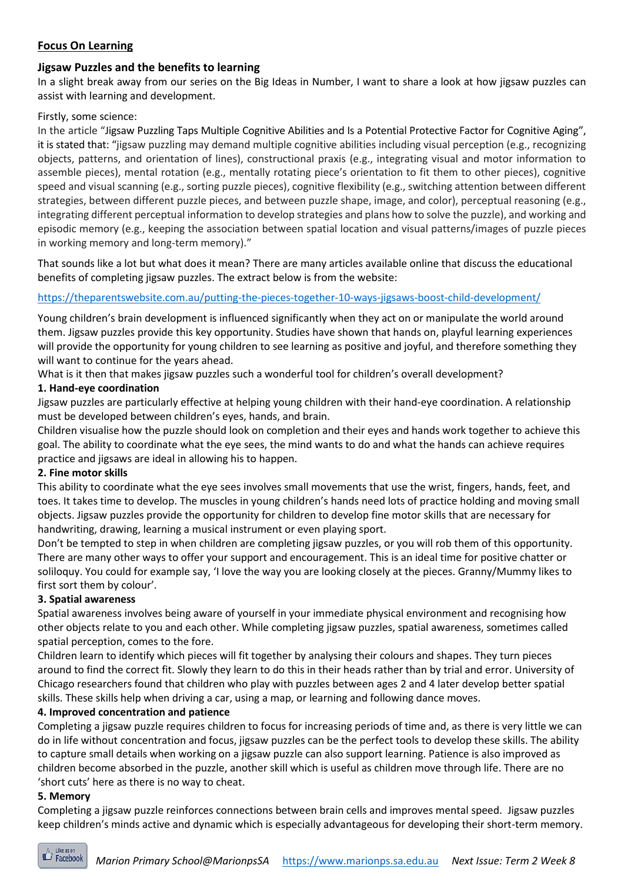#### **Focus On Learning**

#### **Jigsaw Puzzles and the benefits to learning**

In a slight break away from our series on the Big Ideas in Number, I want to share a look at how jigsaw puzzles can assist with learning and development.

#### Firstly, some science:

In the article "Jigsaw Puzzling Taps Multiple Cognitive Abilities and Is a Potential Protective Factor for Cognitive Aging", it is stated that: "jigsaw puzzling may demand multiple cognitive abilities including visual perception (e.g., recognizing objects, patterns, and orientation of lines), constructional praxis (e.g., integrating visual and motor information to assemble pieces), mental rotation (e.g., mentally rotating piece's orientation to fit them to other pieces), cognitive speed and visual scanning (e.g., sorting puzzle pieces), cognitive flexibility (e.g., switching attention between different strategies, between different puzzle pieces, and between puzzle shape, image, and color), perceptual reasoning (e.g., integrating different perceptual information to develop strategies and plans how to solve the puzzle), and working and episodic memory (e.g., keeping the association between spatial location and visual patterns/images of puzzle pieces in working memory and long-term memory)."

That sounds like a lot but what does it mean? There are many articles available online that discuss the educational benefits of completing jigsaw puzzles. The extract below is from the website:

#### <https://theparentswebsite.com.au/putting-the-pieces-together-10-ways-jigsaws-boost-child-development/>

Young children's brain development is influenced significantly when they act on or manipulate the world around them. Jigsaw puzzles provide this key opportunity. Studies have shown that hands on, playful learning experiences will provide the opportunity for young children to see learning as positive and joyful, and therefore something they will want to continue for the years ahead.

What is it then that makes jigsaw puzzles such a wonderful tool for children's overall development?

#### **1. Hand-eye coordination**

Jigsaw puzzles are particularly effective at helping young children with their hand-eye coordination. A relationship must be developed between children's eyes, hands, and brain.

Children visualise how the puzzle should look on completion and their eyes and hands work together to achieve this goal. The ability to coordinate what the eye sees, the mind wants to do and what the hands can achieve requires practice and jigsaws are ideal in allowing his to happen.

#### **2. Fine motor skills**

This ability to coordinate what the eye sees involves small movements that use the wrist, fingers, hands, feet, and toes. It takes time to develop. The muscles in young children's hands need lots of practice holding and moving small objects. Jigsaw puzzles provide the opportunity for children to develop fine motor skills that are necessary for handwriting, drawing, learning a musical instrument or even playing sport.

Don't be tempted to step in when children are completing jigsaw puzzles, or you will rob them of this opportunity. There are many other ways to offer your support and encouragement. This is an ideal time for positive chatter or soliloquy. You could for example say, 'I love the way you are looking closely at the pieces. Granny/Mummy likes to first sort them by colour'.

#### **3. Spatial awareness**

Spatial awareness involves being aware of yourself in your immediate physical environment and recognising how other objects relate to you and each other. While completing jigsaw puzzles, spatial awareness, sometimes called spatial perception, comes to the fore.

Children learn to identify which pieces will fit together by analysing their colours and shapes. They turn pieces around to find the correct fit. Slowly they learn to do this in their heads rather than by trial and error. University of Chicago researchers found that children who play with puzzles between ages 2 and 4 later develop better spatial skills. These skills help when driving a car, using a map, or learning and following dance moves.

#### **4. Improved concentration and patience**

Completing a jigsaw puzzle requires children to focus for increasing periods of time and, as there is very little we can do in life without concentration and focus, jigsaw puzzles can be the perfect tools to develop these skills. The ability to capture small details when working on a jigsaw puzzle can also support learning. Patience is also improved as children become absorbed in the puzzle, another skill which is useful as children move through life. There are no 'short cuts' here as there is no way to cheat.

#### **5. Memory**

Completing a jigsaw puzzle reinforces connections between brain cells and improves mental speed. Jigsaw puzzles keep children's minds active and dynamic which is especially advantageous for developing their short-term memory.

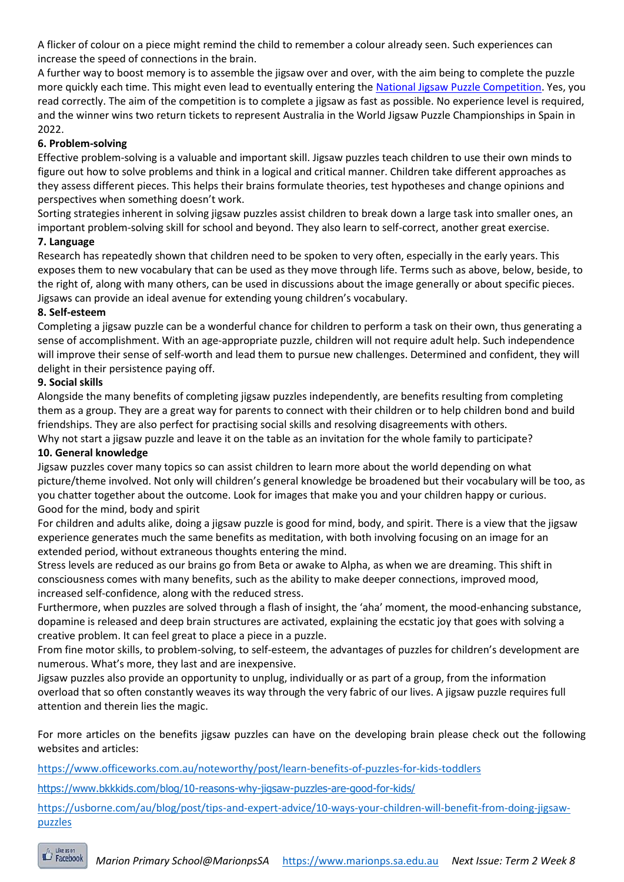A flicker of colour on a piece might remind the child to remember a colour already seen. Such experiences can increase the speed of connections in the brain.

A further way to boost memory is to assemble the jigsaw over and over, with the aim being to complete the puzzle more quickly each time. This might even lead to eventually entering the [National Jigsaw Puzzle Competition.](https://www.eventbrite.com.au/e/national-jigsaw-puzzle-competition-tickets-96177668997) Yes, you read correctly. The aim of the competition is to complete a jigsaw as fast as possible. No experience level is required, and the winner wins two return tickets to represent Australia in the World Jigsaw Puzzle Championships in Spain in 2022.

#### **6. Problem-solving**

Effective problem-solving is a valuable and important skill. Jigsaw puzzles teach children to use their own minds to figure out how to solve problems and think in a logical and critical manner. Children take different approaches as they assess different pieces. This helps their brains formulate theories, test hypotheses and change opinions and perspectives when something doesn't work.

Sorting strategies inherent in solving jigsaw puzzles assist children to break down a large task into smaller ones, an important problem-solving skill for school and beyond. They also learn to self-correct, another great exercise.

#### **7. Language**

Research has repeatedly shown that children need to be spoken to very often, especially in the early years. This exposes them to new vocabulary that can be used as they move through life. Terms such as above, below, beside, to the right of, along with many others, can be used in discussions about the image generally or about specific pieces. Jigsaws can provide an ideal avenue for extending young children's vocabulary.

#### **8. Self-esteem**

Completing a jigsaw puzzle can be a wonderful chance for children to perform a task on their own, thus generating a sense of accomplishment. With an age-appropriate puzzle, children will not require adult help. Such independence will improve their sense of self-worth and lead them to pursue new challenges. Determined and confident, they will delight in their persistence paying off.

#### **9. Social skills**

Alongside the many benefits of completing jigsaw puzzles independently, are benefits resulting from completing them as a group. They are a great way for parents to connect with their children or to help children bond and build friendships. They are also perfect for practising social skills and resolving disagreements with others.

Why not start a jigsaw puzzle and leave it on the table as an invitation for the whole family to participate? **10. General knowledge**

Jigsaw puzzles cover many topics so can assist children to learn more about the world depending on what picture/theme involved. Not only will children's general knowledge be broadened but their vocabulary will be too, as you chatter together about the outcome. Look for images that make you and your children happy or curious. Good for the mind, body and spirit

For children and adults alike, doing a jigsaw puzzle is good for mind, body, and spirit. There is a view that the jigsaw experience generates much the same benefits as meditation, with both involving focusing on an image for an extended period, without extraneous thoughts entering the mind.

Stress levels are reduced as our brains go from Beta or awake to Alpha, as when we are dreaming. This shift in consciousness comes with many benefits, such as the ability to make deeper connections, improved mood, increased self-confidence, along with the reduced stress.

Furthermore, when puzzles are solved through a flash of insight, the 'aha' moment, the mood-enhancing substance, dopamine is released and deep brain structures are activated, explaining the ecstatic joy that goes with solving a creative problem. It can feel great to place a piece in a puzzle.

From fine motor skills, to problem-solving, to self-esteem, the advantages of puzzles for children's development are numerous. What's more, they last and are inexpensive.

Jigsaw puzzles also provide an opportunity to unplug, individually or as part of a group, from the information overload that so often constantly weaves its way through the very fabric of our lives. A jigsaw puzzle requires full attention and therein lies the magic.

For more articles on the benefits jigsaw puzzles can have on the developing brain please check out the following websites and articles:

<https://www.officeworks.com.au/noteworthy/post/learn-benefits-of-puzzles-for-kids-toddlers>

<https://www.bkkkids.com/blog/10-reasons-why-jigsaw-puzzles-are-good-for-kids/>

[https://usborne.com/au/blog/post/tips-and-expert-advice/10-ways-your-children-will-benefit-from-doing-jigsaw](https://usborne.com/au/blog/post/tips-and-expert-advice/10-ways-your-children-will-benefit-from-doing-jigsaw-puzzles)[puzzles](https://usborne.com/au/blog/post/tips-and-expert-advice/10-ways-your-children-will-benefit-from-doing-jigsaw-puzzles)

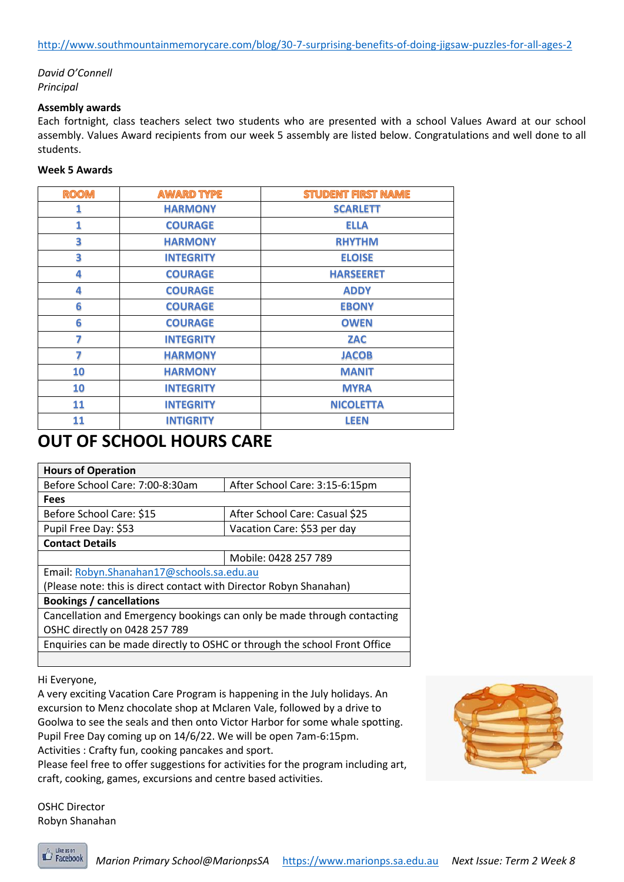#### *David O'Connell Principal*

#### **Assembly awards**

Each fortnight, class teachers select two students who are presented with a school Values Award at our school assembly. Values Award recipients from our week 5 assembly are listed below. Congratulations and well done to all students.

#### **Week 5 Awards**

| <b>ROOM</b> | <b>AWARD TYPE</b> | <b>STUDENT FIRST NAME</b> |
|-------------|-------------------|---------------------------|
| 1           | <b>HARMONY</b>    | <b>SCARLETT</b>           |
| 1           | <b>COURAGE</b>    | <b>ELLA</b>               |
| 3           | <b>HARMONY</b>    | <b>RHYTHM</b>             |
| 3           | <b>INTEGRITY</b>  | <b>ELOISE</b>             |
| 4           | <b>COURAGE</b>    | <b>HARSEERET</b>          |
| 4           | <b>COURAGE</b>    | <b>ADDY</b>               |
| 6           | <b>COURAGE</b>    | <b>EBONY</b>              |
| 6           | <b>COURAGE</b>    | <b>OWEN</b>               |
| 7           | <b>INTEGRITY</b>  | <b>ZAC</b>                |
| 7           | <b>HARMONY</b>    | <b>JACOB</b>              |
| 10          | <b>HARMONY</b>    | <b>MANIT</b>              |
| 10          | <b>INTEGRITY</b>  | <b>MYRA</b>               |
| 11          | <b>INTEGRITY</b>  | <b>NICOLETTA</b>          |
| 11          | <b>INTIGRITY</b>  | <b>LEEN</b>               |

## **OUT OF SCHOOL HOURS CARE**

| <b>Hours of Operation</b>                                                 |                                |  |  |
|---------------------------------------------------------------------------|--------------------------------|--|--|
| Before School Care: 7:00-8:30am                                           | After School Care: 3:15-6:15pm |  |  |
| <b>Fees</b>                                                               |                                |  |  |
| Before School Care: \$15                                                  | After School Care: Casual \$25 |  |  |
| Pupil Free Day: \$53                                                      | Vacation Care: \$53 per day    |  |  |
| <b>Contact Details</b>                                                    |                                |  |  |
|                                                                           | Mobile: 0428 257 789           |  |  |
| Email: Robyn.Shanahan17@schools.sa.edu.au                                 |                                |  |  |
| (Please note: this is direct contact with Director Robyn Shanahan)        |                                |  |  |
| <b>Bookings / cancellations</b>                                           |                                |  |  |
| Cancellation and Emergency bookings can only be made through contacting   |                                |  |  |
| OSHC directly on 0428 257 789                                             |                                |  |  |
| Enquiries can be made directly to OSHC or through the school Front Office |                                |  |  |
|                                                                           |                                |  |  |

Hi Everyone,

A very exciting Vacation Care Program is happening in the July holidays. An excursion to Menz chocolate shop at Mclaren Vale, followed by a drive to Goolwa to see the seals and then onto Victor Harbor for some whale spotting. Pupil Free Day coming up on 14/6/22. We will be open 7am-6:15pm. Activities : Crafty fun, cooking pancakes and sport.

Please feel free to offer suggestions for activities for the program including art, craft, cooking, games, excursions and centre based activities.



OSHC Director Robyn Shanahan